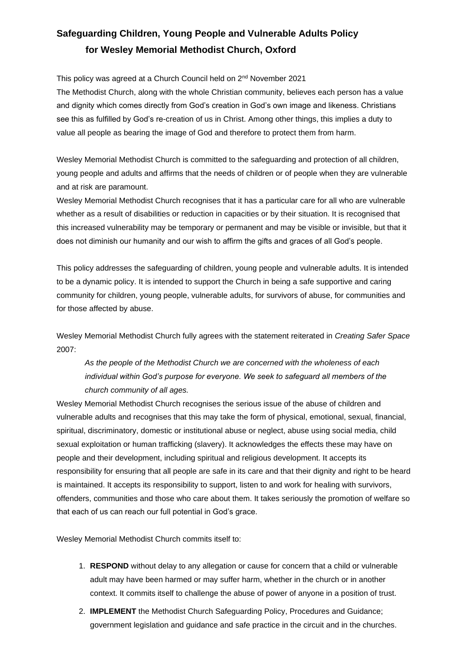# **Safeguarding Children, Young People and Vulnerable Adults Policy for Wesley Memorial Methodist Church, Oxford**

This policy was agreed at a Church Council held on 2<sup>nd</sup> November 2021

The Methodist Church, along with the whole Christian community, believes each person has a value and dignity which comes directly from God's creation in God's own image and likeness. Christians see this as fulfilled by God's re-creation of us in Christ. Among other things, this implies a duty to value all people as bearing the image of God and therefore to protect them from harm.

Wesley Memorial Methodist Church is committed to the safeguarding and protection of all children, young people and adults and affirms that the needs of children or of people when they are vulnerable and at risk are paramount.

Wesley Memorial Methodist Church recognises that it has a particular care for all who are vulnerable whether as a result of disabilities or reduction in capacities or by their situation. It is recognised that this increased vulnerability may be temporary or permanent and may be visible or invisible, but that it does not diminish our humanity and our wish to affirm the gifts and graces of all God's people.

This policy addresses the safeguarding of children, young people and vulnerable adults. It is intended to be a dynamic policy. It is intended to support the Church in being a safe supportive and caring community for children, young people, vulnerable adults, for survivors of abuse, for communities and for those affected by abuse.

Wesley Memorial Methodist Church fully agrees with the statement reiterated in *Creating Safer Space*  2007:

*As the people of the Methodist Church we are concerned with the wholeness of each individual within God's purpose for everyone. We seek to safeguard all members of the church community of all ages.* 

Wesley Memorial Methodist Church recognises the serious issue of the abuse of children and vulnerable adults and recognises that this may take the form of physical, emotional, sexual, financial, spiritual, discriminatory, domestic or institutional abuse or neglect, abuse using social media, child sexual exploitation or human trafficking (slavery). It acknowledges the effects these may have on people and their development, including spiritual and religious development. It accepts its responsibility for ensuring that all people are safe in its care and that their dignity and right to be heard is maintained. It accepts its responsibility to support, listen to and work for healing with survivors, offenders, communities and those who care about them. It takes seriously the promotion of welfare so that each of us can reach our full potential in God's grace.

Wesley Memorial Methodist Church commits itself to:

- 1. **RESPOND** without delay to any allegation or cause for concern that a child or vulnerable adult may have been harmed or may suffer harm, whether in the church or in another context. It commits itself to challenge the abuse of power of anyone in a position of trust.
- 2. **IMPLEMENT** the Methodist Church Safeguarding Policy, Procedures and Guidance; government legislation and guidance and safe practice in the circuit and in the churches.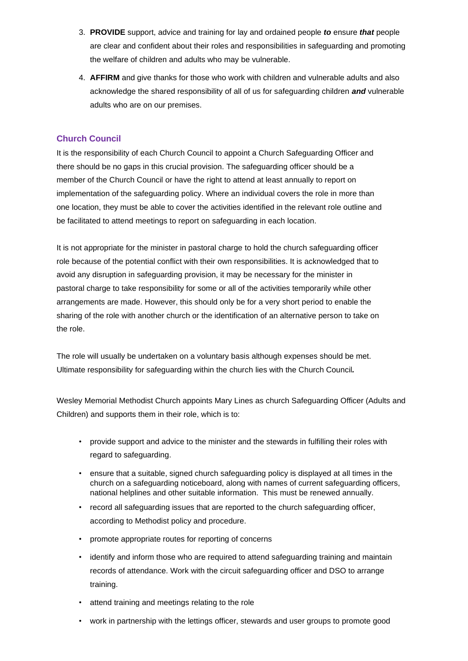- 3. **PROVIDE** support, advice and training for lay and ordained people *to* ensure *that* people are clear and confident about their roles and responsibilities in safeguarding and promoting the welfare of children and adults who may be vulnerable.
- 4. **AFFIRM** and give thanks for those who work with children and vulnerable adults and also acknowledge the shared responsibility of all of us for safeguarding children *and* vulnerable adults who are on our premises.

# **Church Council**

It is the responsibility of each Church Council to appoint a Church Safeguarding Officer and there should be no gaps in this crucial provision. The safeguarding officer should be a member of the Church Council or have the right to attend at least annually to report on implementation of the safeguarding policy. Where an individual covers the role in more than one location, they must be able to cover the activities identified in the relevant role outline and be facilitated to attend meetings to report on safeguarding in each location.

It is not appropriate for the minister in pastoral charge to hold the church safeguarding officer role because of the potential conflict with their own responsibilities. It is acknowledged that to avoid any disruption in safeguarding provision, it may be necessary for the minister in pastoral charge to take responsibility for some or all of the activities temporarily while other arrangements are made. However, this should only be for a very short period to enable the sharing of the role with another church or the identification of an alternative person to take on the role.

The role will usually be undertaken on a voluntary basis although expenses should be met. Ultimate responsibility for safeguarding within the church lies with the Church Council*.* 

Wesley Memorial Methodist Church appoints Mary Lines as church Safeguarding Officer (Adults and Children) and supports them in their role, which is to:

- provide support and advice to the minister and the stewards in fulfilling their roles with regard to safeguarding.
- ensure that a suitable, signed church safeguarding policy is displayed at all times in the church on a safeguarding noticeboard, along with names of current safeguarding officers, national helplines and other suitable information. This must be renewed annually.
- record all safeguarding issues that are reported to the church safeguarding officer, according to Methodist policy and procedure.
- promote appropriate routes for reporting of concerns
- identify and inform those who are required to attend safeguarding training and maintain records of attendance. Work with the circuit safeguarding officer and DSO to arrange training.
- attend training and meetings relating to the role
- work in partnership with the lettings officer, stewards and user groups to promote good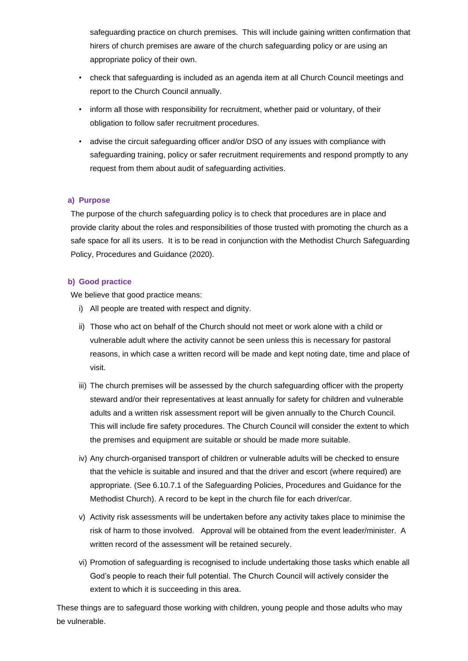safeguarding practice on church premises. This will include gaining written confirmation that hirers of church premises are aware of the church safeguarding policy or are using an appropriate policy of their own.

- check that safeguarding is included as an agenda item at all Church Council meetings and report to the Church Council annually.
- inform all those with responsibility for recruitment, whether paid or voluntary, of their obligation to follow safer recruitment procedures.
- advise the circuit safeguarding officer and/or DSO of any issues with compliance with safeguarding training, policy or safer recruitment requirements and respond promptly to any request from them about audit of safeguarding activities.

## **a) Purpose**

The purpose of the church safeguarding policy is to check that procedures are in place and provide clarity about the roles and responsibilities of those trusted with promoting the church as a safe space for all its users. It is to be read in conjunction with the Methodist Church Safeguarding Policy, Procedures and Guidance (2020).

## **b) Good practice**

We believe that good practice means:

- i) All people are treated with respect and dignity.
- ii) Those who act on behalf of the Church should not meet or work alone with a child or vulnerable adult where the activity cannot be seen unless this is necessary for pastoral reasons, in which case a written record will be made and kept noting date, time and place of visit.
- iii) The church premises will be assessed by the church safeguarding officer with the property steward and/or their representatives at least annually for safety for children and vulnerable adults and a written risk assessment report will be given annually to the Church Council. This will include fire safety procedures. The Church Council will consider the extent to which the premises and equipment are suitable or should be made more suitable.
- iv) Any church-organised transport of children or vulnerable adults will be checked to ensure that the vehicle is suitable and insured and that the driver and escort (where required) are appropriate. (See 6.10.7.1 of the Safeguarding Policies, Procedures and Guidance for the Methodist Church). A record to be kept in the church file for each driver/car.
- v) Activity risk assessments will be undertaken before any activity takes place to minimise the risk of harm to those involved. Approval will be obtained from the event leader/minister. A written record of the assessment will be retained securely.
- vi) Promotion of safeguarding is recognised to include undertaking those tasks which enable all God's people to reach their full potential. The Church Council will actively consider the extent to which it is succeeding in this area.

These things are to safeguard those working with children, young people and those adults who may be vulnerable.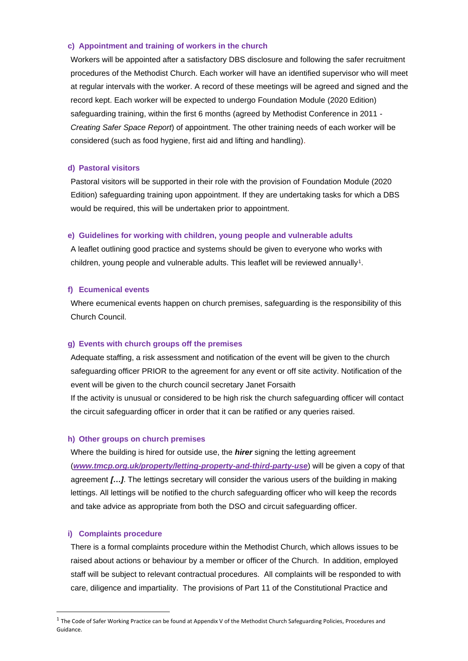### **c) Appointment and training of workers in the church**

Workers will be appointed after a satisfactory DBS disclosure and following the safer recruitment procedures of the Methodist Church. Each worker will have an identified supervisor who will meet at regular intervals with the worker. A record of these meetings will be agreed and signed and the record kept. Each worker will be expected to undergo Foundation Module (2020 Edition) safeguarding training, within the first 6 months (agreed by Methodist Conference in 2011 - *Creating Safer Space Report*) of appointment. The other training needs of each worker will be considered (such as food hygiene, first aid and lifting and handling).

### **d) Pastoral visitors**

Pastoral visitors will be supported in their role with the provision of Foundation Module (2020 Edition) safeguarding training upon appointment. If they are undertaking tasks for which a DBS would be required, this will be undertaken prior to appointment.

#### **e) Guidelines for working with children, young people and vulnerable adults**

A leaflet outlining good practice and systems should be given to everyone who works with children, young people and vulnerable adults. This leaflet will be reviewed annually<sup>1</sup>.

#### **f) Ecumenical events**

Where ecumenical events happen on church premises, safeguarding is the responsibility of this Church Council.

## **g) Events with church groups off the premises**

Adequate staffing, a risk assessment and notification of the event will be given to the church safeguarding officer PRIOR to the agreement for any event or off site activity. Notification of the event will be given to the church council secretary Janet Forsaith

If the activity is unusual or considered to be high risk the church safeguarding officer will contact the circuit safeguarding officer in order that it can be ratified or any queries raised.

#### **h) Other groups on church premises**

Where the building is hired for outside use, the *hirer* signing the letting agreement (*[www.tmcp.org.uk/property/letting-property-and-third-party-use](http://www.tmcp.org.uk/property/letting-property-and-third-party-use)*) will be given a copy of that agreement *[…]*. The lettings secretary will consider the various users of the building in making lettings. All lettings will be notified to the church safeguarding officer who will keep the records and take advice as appropriate from both the DSO and circuit safeguarding officer.

### **i) Complaints procedure**

There is a formal complaints procedure within the Methodist Church, which allows issues to be raised about actions or behaviour by a member or officer of the Church. In addition, employed staff will be subject to relevant contractual procedures. All complaints will be responded to with care, diligence and impartiality. The provisions of Part 11 of the Constitutional Practice and

 $1$  The Code of Safer Working Practice can be found at Appendix V of the Methodist Church Safeguarding Policies, Procedures and Guidance.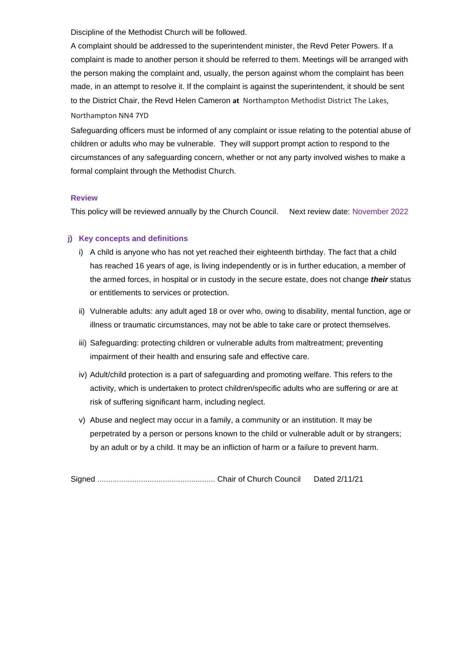Discipline of the Methodist Church will be followed.

A complaint should be addressed to the superintendent minister, the Revd Peter Powers. If a complaint is made to another person it should be referred to them. Meetings will be arranged with the person making the complaint and, usually, the person against whom the complaint has been made, in an attempt to resolve it. If the complaint is against the superintendent, it should be sent to the District Chair, the Revd Helen Cameron **at** Northampton Methodist District The Lakes, Northampton NN4 7YD

Safeguarding officers must be informed of any complaint or issue relating to the potential abuse of children or adults who may be vulnerable. They will support prompt action to respond to the circumstances of any safeguarding concern, whether or not any party involved wishes to make a formal complaint through the Methodist Church.

## **Review**

This policy will be reviewed annually by the Church Council. Next review date: November 2022

## **j) Key concepts and definitions**

- i) A child is anyone who has not yet reached their eighteenth birthday. The fact that a child has reached 16 years of age, is living independently or is in further education, a member of the armed forces, in hospital or in custody in the secure estate, does not change *their* status or entitlements to services or protection.
- ii) Vulnerable adults: any adult aged 18 or over who, owing to disability, mental function, age or illness or traumatic circumstances, may not be able to take care or protect themselves.
- iii) Safeguarding: protecting children or vulnerable adults from maltreatment; preventing impairment of their health and ensuring safe and effective care.
- iv) Adult/child protection is a part of safeguarding and promoting welfare. This refers to the activity, which is undertaken to protect children/specific adults who are suffering or are at risk of suffering significant harm, including neglect.
- v) Abuse and neglect may occur in a family, a community or an institution. It may be perpetrated by a person or persons known to the child or vulnerable adult or by strangers; by an adult or by a child. It may be an infliction of harm or a failure to prevent harm.

Signed ...................................................... Chair of Church Council Dated 2/11/21